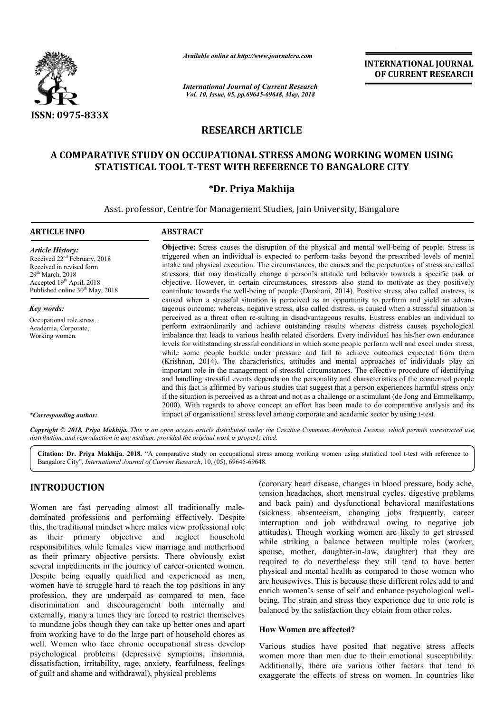

*Available online at http://www.journalcra.com*

*International Journal of Current Research Vol. 10, Issue, 05, pp.69645-69648, May, 2018*

**INTERNATIONAL JOURNAL OF CURRENT RESEARCH**

# **RESEARCH ARTICLE**

## **A COMPARATIVE STUDY ON OCCUPATIONAL STRESS AMONG WORKING WOMEN USING**  RATIVE STUDY ON OCCUPATIONAL STRESS AMONG WORKING WOM<br>STATISTICAL TOOL T-TEST WITH REFERENCE TO BANGALORE CITY

### **\*Dr. Priya Makhija**

Asst. professor, Centre for Management Studies, Jain University, Bangalore

#### **ARTICLE INFO ABSTRACT**

*Article History:* Received 22nd February, 2018 Received in revised form  $29<sup>th</sup> March, 2018$ Accepted 19<sup>th</sup> April, 2018 Published online  $30<sup>th</sup>$  May, 2018

*Key words:* Occupational role stress, Academia, Corporate, Working women.

**Objective:** Stress causes the disruption of the physical and mental well-being of people. Stress is triggered when an individual is expected to perform tasks beyond the prescribed levels of mental triggered when an individual is expected to perform tasks beyond the prescribed levels of mental intake and physical execution. The circumstances, the causes and the perpetuators of stress are called stressors, that may drastically change a person's attitude and behavior towards a specific task or objective. However, in certain circumstances, stressors also stand to motivate as they positively contribute towards the well-being of people (Darshani, 2014). Positive stress, also called eustress, is stressors, that may drastically change a person's attitude and behavior towards a specific task or objective. However, in certain circumstances, stressors also stand to motivate as they positively contribute towards the we tageous outcome; whereas, negative stress, also called distress, is caused when a stressful situation is perceived as a threat often re-sulting in disadvantageous results. Eustress enables an individual to perform extraordinarily and achieve outstanding results whereas distress causes psychological imbalance that leads to various health related disorders. Every individual has his/her own endurance levels for withstanding stressful conditions in which some people perform well and excel under stress, while some people buckle under pressure and fail to achieve outcomes expected from them (Krishnan, 2014). The characteristics, attitudes and mental approaches of individuals play an important role in the management of stressful circumstances. The effective procedure of identifying and handling stressful events depends on the personality and characteristics of the concerned people and this fact is affirmed by various studies that suggest that a person experiences harmful stress only if the situation is perceived as a threat and not as a challenge or a stimulant (de Jong and Emmelkamp, 2000). With regards to above concept an effort has been made to do comparative analysis and its impact of organisational stress level among corporate and academic sector by using t shnan, 2014). The characteristics, attitudes and mental approaches of individuals play an ortant role in the management of stressful circumstances. The effective procedure of identifying handling stressful events depends o perceived as a threat often re-sulting in disadvantageous results. Eustress enables an individual to perform extraordinarily and achieve outstanding results whereas distress causes psychological imbalance that leads to var and this fact is affirmed by various studies that suggest that a person experiences harmful stress only if the situation is perceived as a threat and not as a challenge or a stimulant (de Jong and Emmelkamp, 2000). With re **INTERNATIONAL JOURNAL FORMATIONAL JOURNAL CHARGES**<br> **CHARGES CONSTRATE CONSTRATES (SECURE TO BANGALORE CITY** (19), 3013<br> **AS AMONG WORKING WOMEN USING**<br> **AS AMONG WORKING WOMEN USING**<br> **AS AMONG WORKING WOMEN USING**<br> **AS** 

*\*Corresponding author:*

Copyright © 2018, Priya Makhija. This is an open access article distributed under the Creative Commons Attribution License, which permits unrestricted use, *distribution, and reproduction in any medium, provided the original work is properly cited.*

Citation: Dr. Priya Makhija. 2018. "A comparative study on occupational stress among working women using statistical tool t-test with reference to Bangalore City", *International Journal of Current Research* , 10, (05), 69645-69648.

## **INTRODUCTION**

Women are fast pervading almost all traditionally maledominated professions and performing effectively. Despite this, the traditional mindset where males view professional role as their primary objective and neglect household responsibilities while females view marriage and motherhood as their primary objective persists. There obviously exist several impediments in the journey of career-oriented women. Despite being equally qualified and experienced as men, women have to struggle hard to reach the top positions in any profession, they are underpaid as compared to men, face discrimination and discouragement both internally and externally, many a times they are forced to restrict themselves to mundane jobs though they can take up better ones and apart from working have to do the large part of household chores as well. Women who face chronic occupational stress develop psychological problems (depressive symptoms, insomnia, dissatisfaction, irritability, rage, anxiety, fearfulness, feelings of guilt and shame and withdrawal), physical problems s view marriage and motherhood<br>persists. There obviously exist<br>purney of career-oriented women. **DUCTION** (coronary heart disease, changes in blood pressure, body ache, en the sample and back in the sample and back pain) neadaches, short mentrial cycles, digestive problems and proforming effectively. Despite interrup

tension headaches, short menstrual cycles, digestive problems and back pain) and dysfunctional behavioral manifestations (coronary heart disease, changes in blood pressure, body ache, tension headaches, short menstrual cycles, digestive problems and back pain) and dysfunctional behavioral manifestations (sickness absenteeism, changing jobs f interruption and job withdrawal owing to negative job attitudes). Though working women are likely to get stressed while striking a balance between multiple roles (worker, attitudes). Though working women are likely to get stressed while striking a balance between multiple roles (worker, spouse, mother, daughter-in-law, daughter) that they are required to do nevertheless they still tend to have better physical and mental health as compared to those women who are housewives. This is because these different roles add to and enrich women's sense of self and enhance psychological well being. The strain and stress they experience due to one role is balanced by the satisfaction they obtain from other roles. required to do nevertheless they still tend to have better physical and mental health as compared to those women who are housewives. This is because these different roles add to and enrich women's sense of self and enhance

#### **How Women are affected?**

Various studies have posited that negative stress affects women more than men due to their emotional susceptibility. Additionally, there are various other factors that tend to exaggerate the effects of stress on women. In countries like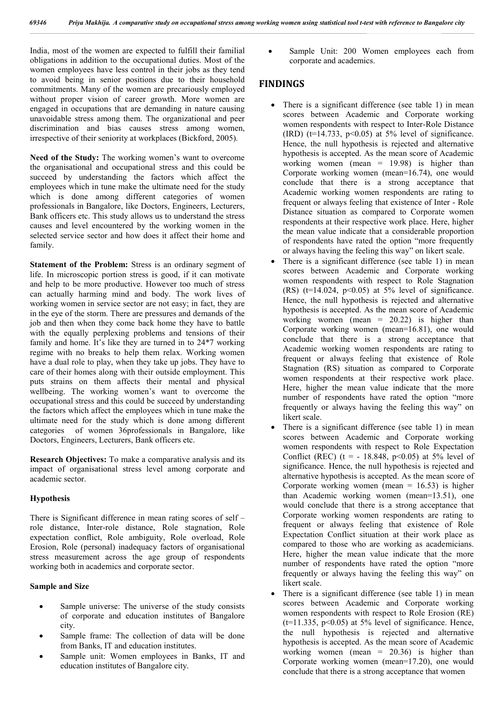India, most of the women are expected to fulfill their familial obligations in addition to the occupational duties. Most of the women employees have less control in their jobs as they tend to avoid being in senior positions due to their household commitments. Many of the women are precariously employed without proper vision of career growth. More women are engaged in occupations that are demanding in nature causing unavoidable stress among them. The organizational and peer discrimination and bias causes stress among women. irrespective of their seniority at workplaces (Bickford, 2005).

**Need of the Study:** The working women's want to overcome the organisational and occupational stress and this could be succeed by understanding the factors which affect the employees which in tune make the ultimate need for the study which is done among different categories of women professionals in Bangalore, like Doctors, Engineers, Lecturers, Bank officers etc. This study allows us to understand the stress causes and level encountered by the working women in the selected service sector and how does it affect their home and family.

**Statement of the Problem:** Stress is an ordinary segment of life. In microscopic portion stress is good, if it can motivate and help to be more productive. However too much of stress can actually harming mind and body. The work lives of working women in service sector are not easy; in fact, they are in the eye of the storm. There are pressures and demands of the job and then when they come back home they have to battle with the equally perplexing problems and tensions of their family and home. It's like they are turned in to 24\*7 working regime with no breaks to help them relax. Working women have a dual role to play, when they take up jobs. They have to care of their homes along with their outside employment. This puts strains on them affects their mental and physical wellbeing. The working women's want to overcome the occupational stress and this could be succeed by understanding the factors which affect the employees which in tune make the ultimate need for the study which is done among different categories of women 36professionals in Bangalore, like Doctors, Engineers, Lecturers, Bank officers etc.

**Research Objectives:** To make a comparative analysis and its impact of organisational stress level among corporate and academic sector.

#### **Hypothesis**

There is Significant difference in mean rating scores of self – role distance, Inter-role distance, Role stagnation, Role expectation conflict, Role ambiguity, Role overload, Role Erosion, Role (personal) inadequacy factors of organisational stress measurement across the age group of respondents working both in academics and corporate sector.

#### **Sample and Size**

- Sample universe: The universe of the study consists of corporate and education institutes of Bangalore city.
- Sample frame: The collection of data will be done from Banks, IT and education institutes.
- Sample unit: Women employees in Banks, IT and education institutes of Bangalore city.

 Sample Unit: 200 Women employees each from corporate and academics.

#### **FINDINGS**

- There is a significant difference (see table 1) in mean scores between Academic and Corporate working women respondents with respect to Inter-Role Distance (IRD) ( $t=14.733$ ,  $p<0.05$ ) at 5% level of significance. Hence, the null hypothesis is rejected and alternative hypothesis is accepted. As the mean score of Academic working women (mean = 19.98) is higher than Corporate working women (mean=16.74), one would conclude that there is a strong acceptance that Academic working women respondents are rating to frequent or always feeling that existence of Inter - Role Distance situation as compared to Corporate women respondents at their respective work place. Here, higher the mean value indicate that a considerable proportion of respondents have rated the option "more frequently or always having the feeling this way" on likert scale.
- There is a significant difference (see table 1) in mean scores between Academic and Corporate working women respondents with respect to Role Stagnation (RS) ( $t=14.024$ ,  $p<0.05$ ) at 5% level of significance. Hence, the null hypothesis is rejected and alternative hypothesis is accepted. As the mean score of Academic working women (mean  $= 20.22$ ) is higher than Corporate working women (mean=16.81), one would conclude that there is a strong acceptance that Academic working women respondents are rating to frequent or always feeling that existence of Role Stagnation (RS) situation as compared to Corporate women respondents at their respective work place. Here, higher the mean value indicate that the more number of respondents have rated the option "more frequently or always having the feeling this way" on likert scale.
- There is a significant difference (see table 1) in mean scores between Academic and Corporate working women respondents with respect to Role Expectation Conflict (REC) (t =  $-18.848$ , p<0.05) at 5% level of significance. Hence, the null hypothesis is rejected and alternative hypothesis is accepted. As the mean score of Corporate working women (mean =  $16.53$ ) is higher than Academic working women (mean=13.51), one would conclude that there is a strong acceptance that Corporate working women respondents are rating to frequent or always feeling that existence of Role Expectation Conflict situation at their work place as compared to those who are working as academicians. Here, higher the mean value indicate that the more number of respondents have rated the option "more frequently or always having the feeling this way" on likert scale.
- There is a significant difference (see table 1) in mean scores between Academic and Corporate working women respondents with respect to Role Erosion (RE)  $(t=11.335, p<0.05)$  at 5% level of significance. Hence, the null hypothesis is rejected and alternative hypothesis is accepted. As the mean score of Academic working women (mean = 20.36) is higher than Corporate working women (mean=17.20), one would conclude that there is a strong acceptance that women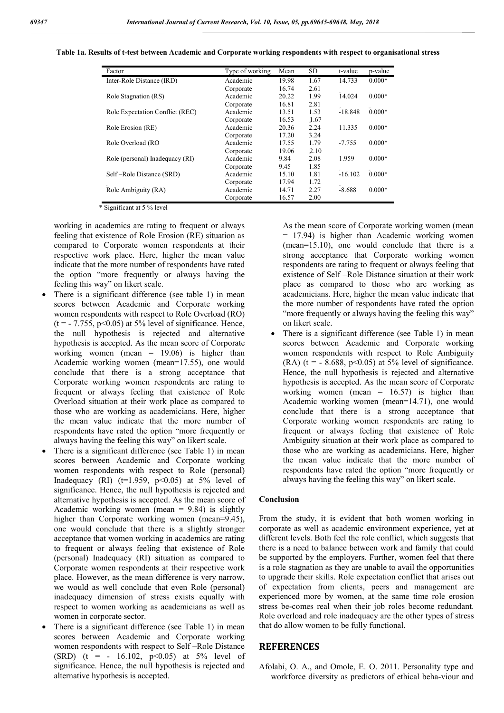| Factor                          | Type of working | Mean  | SD   | t-value   | p-value  |
|---------------------------------|-----------------|-------|------|-----------|----------|
| Inter-Role Distance (IRD)       | Academic        | 19.98 | 1.67 | 14.733    | $0.000*$ |
|                                 | Corporate       | 16.74 | 2.61 |           |          |
| Role Stagnation (RS)            | Academic        | 20.22 | 1.99 | 14.024    | $0.000*$ |
|                                 | Corporate       | 16.81 | 2.81 |           |          |
| Role Expectation Conflict (REC) | Academic        | 13.51 | 1.53 | $-18.848$ | $0.000*$ |
|                                 | Corporate       | 16.53 | 1.67 |           |          |
| Role Erosion (RE)               | Academic        | 20.36 | 2.24 | 11.335    | $0.000*$ |
|                                 | Corporate       | 17.20 | 3.24 |           |          |
| Role Overload (RO               | Academic        | 17.55 | 1.79 | $-7.755$  | $0.000*$ |
|                                 | Corporate       | 19.06 | 2.10 |           |          |
| Role (personal) Inadequacy (RI) | Academic        | 9.84  | 2.08 | 1.959     | $0.000*$ |
|                                 | Corporate       | 9.45  | 1.85 |           |          |
| Self-Role Distance (SRD)        | Academic        | 15.10 | 1.81 | $-16.102$ | $0.000*$ |
|                                 | Corporate       | 17.94 | 1.72 |           |          |
| Role Ambiguity (RA)             | Academic        | 14.71 | 2.27 | $-8.688$  | $0.000*$ |
|                                 | Corporate       | 16.57 | 2.00 |           |          |

**Table 1a. Results of t-test between Academic and Corporate working respondents with respect to organisational stress test stress**

\* Significant at 5 % level

working in academics are rating to frequent or always feeling that existence of Role Erosion (RE) situation as compared to Corporate women respondents at their respective work place. Here, higher the mean value indicate that the more number of respondents have rated the option "more frequently or always having the feeling this way" on likert scale.

- There is a significant difference (see table 1) in mean scores between Academic and Corporate working women respondents with respect to Role Overload (RO)  $(t = -7.755, p<0.05)$  at 5% level of significance. Hence, the null hypothesis is rejected and alternative hypothesis is accepted. As the mean score of Corporate working women (mean  $= 19.06$ ) is higher than Academic working women (mean=17.55), one would conclude that there is a strong acceptance that Corporate working women respondents are rating to frequent or always feeling that existence of Role Overload situation at their work place as compared to those who are working as academicians. Here, higher the mean value indicate that the more number of respondents have rated the option "more frequently or always having the feeling this way" on likert scale. ,  $p<0.05$ ) at 5% level of significance. Hence,<br>hypothesis is rejected and alternative<br>is accepted. As the mean score of Corporate<br>women (mean = 19.06) is higher than<br>working women (mean=17.55), one would<br>that there is a
- There is a significant difference (see Table 1) in mean scores between Academic and Corporate working women respondents with respect to Role (personal) Inadequacy (RI) ( $t=1.959$ ,  $p<0.05$ ) at 5% level of significance. Hence, the null hypothesis is rejected and alternative hypothesis is accepted. As the mean score of Academic working women (mean  $= 9.84$ ) is slightly higher than Corporate working women (mean=9.45), one would conclude that there is a slightly stronger acceptance that women working in academics are rating to frequent or always feeling that existence of Role (personal) Inadequacy (RI) situation as compared to Corporate women respondents at their respective work place. However, as the mean difference is very narrow, we would as well conclude that even Role (personal) inadequacy dimension of stress exists equally with respect to women working as academicians as well as women in corporate sector. ate women respondents at their respective work<br>However, as the mean difference is very narrow,<br>uld as well conclude that even Role (personal)<br>uacy dimension of stress exists equally with<br>to women working as academicians as
- There is a significant difference (see Table 1) in mean scores between Academic and Corporate working women respondents with respect to Self –Role Distance (SRD) (t = - 16.102,  $p<0.05$ ) at 5% level of significance. Hence, the null hypothesis is rejected and alternative hypothesis is accepted.

= 17.94) is higher than Academic working women (mean=15.10), one would conclude that there is a strong acceptance that Corporate working women respondents are rating to frequent or always feeling that existence of Self –Role Distance situation at their work place as compared to those who are working as academicians. Here, higher the mean value indicate that the more number of respondents have rated the option "more frequently or always having the feeling this way" on likert scale. As the mean score of Corporate working women (mean = 17.94) is higher than Academic working women (mean=15.10), one would conclude that there is a strong acceptance that Corporate working women respondents are rating to fr

lating to frequent or above) As the mean score of Corporate working women inteproduces at their work in the mean score of Self Rob Distance and the mean score of Corporate and the mean score of Corporate and the mean scor • There is a significant difference (see Table 1) in mean scores between Academic and Corporate working women respondents with respect to Role Ambiguity (RA) ( $t = -8.688$ ,  $p < 0.05$ ) at 5% level of significance. scores between Academic and Corporate working<br>women respondents with respect to Role Ambiguity<br>(RA) ( $t = -8.688$ ,  $p < 0.05$ ) at 5% level of significance.<br>Hence, the null hypothesis is rejected and alternative hypothesis is accepted. As the mean score of Corporate working women (mean  $= 16.57$ ) is higher than Academic working women (mean=14.71), one would conclude that there is a strong acceptance that Corporate working women respondents are rating to frequent or always feeling that existence of Role Ambiguity situation at their work place as compared to those who are working as academicians. Here, higher the mean value indicate that the more number of respondents have rated the option "more frequently or always having the feeling this way" on likert scale. the mean score of Corporate<br>= 16.57) is higher than<br> $\mu$  (mean=14.71), one would<br>a strong acceptance that<br> $\mu$  respondents are rating to frequent or always feeling that existence of Role<br>Ambiguity situation at their work place as compared to<br>those who are working as academicians. Here, higher<br>the mean value indicate that the more number of<br>respondents have

#### **Conclusion**

From the study, it is evident that both women working in corporate as well as academic environment experience, yet at always having the feeling this way" on likert scale.<br> **Conclusion**<br>
From the study, it is evident that both women working in<br>
corporate as well as academic environment experience, yet at<br>
different levels. Both feel the ro there is a need to balance between work and family that could be supported by the employers. Further, women feel that there is a role stagnation as they are unable to avail the opportunities to upgrade their skills. Role expectation con of expectation from clients, peers and management are experienced more by women, at the same time role erosion stress be-comes real when their job roles become redundant. stress be-comes real when their job roles become redundant.<br>Role overload and role inadequacy are the other types of stress that do allow women to be fully functional. there is a need to balance between work and family that could<br>be supported by the employers. Further, women feel that there<br>is a role stagnation as they are unable to avail the opportunities<br>to upgrade their skills. Role e

#### **REFERENCES**

Afolabi, O. A., and Omole, E. O. 2011. Personality type and workforce diversity as predictors of ethical beha-viour and workforce diversity as predictors of ethical beha-viour and